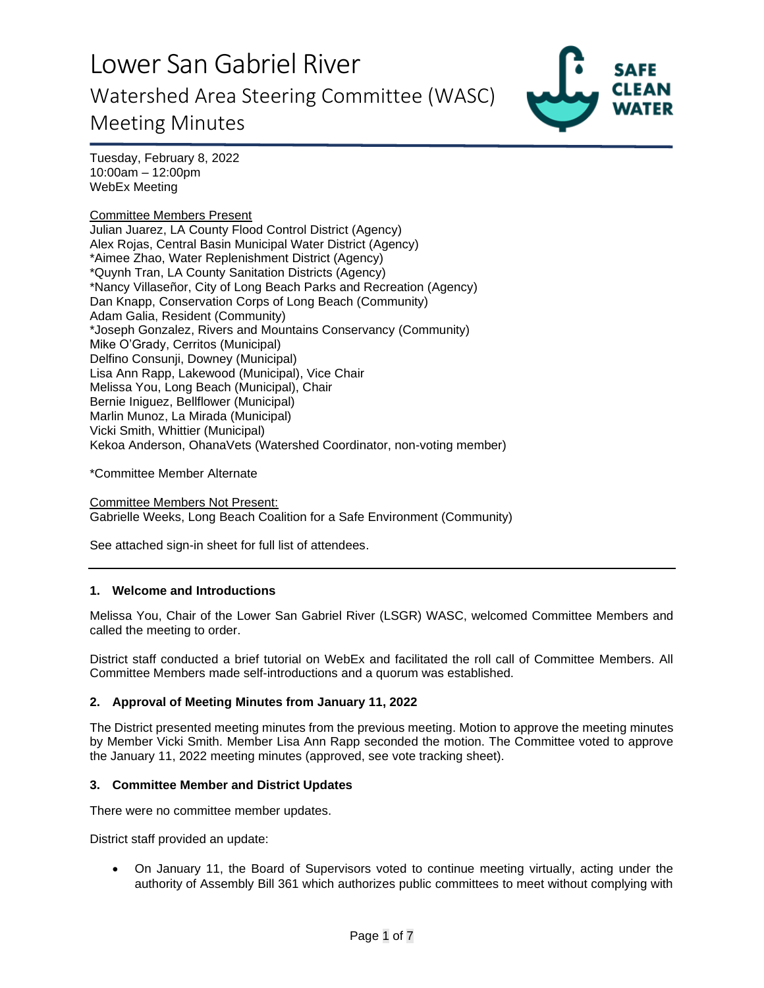

Tuesday, February 8, 2022 10:00am – 12:00pm WebEx Meeting

Committee Members Present Julian Juarez, LA County Flood Control District (Agency) Alex Rojas, Central Basin Municipal Water District (Agency) \*Aimee Zhao, Water Replenishment District (Agency) \*Quynh Tran, LA County Sanitation Districts (Agency) \*Nancy Villaseñor, City of Long Beach Parks and Recreation (Agency) Dan Knapp, Conservation Corps of Long Beach (Community) Adam Galia, Resident (Community) \*Joseph Gonzalez, Rivers and Mountains Conservancy (Community) Mike O'Grady, Cerritos (Municipal) Delfino Consunii, Downey (Municipal) Lisa Ann Rapp, Lakewood (Municipal), Vice Chair Melissa You, Long Beach (Municipal), Chair Bernie Iniguez, Bellflower (Municipal) Marlin Munoz, La Mirada (Municipal) Vicki Smith, Whittier (Municipal) Kekoa Anderson, OhanaVets (Watershed Coordinator, non-voting member)

\*Committee Member Alternate

Committee Members Not Present: Gabrielle Weeks, Long Beach Coalition for a Safe Environment (Community)

See attached sign-in sheet for full list of attendees.

### **1. Welcome and Introductions**

Melissa You, Chair of the Lower San Gabriel River (LSGR) WASC, welcomed Committee Members and called the meeting to order.

District staff conducted a brief tutorial on WebEx and facilitated the roll call of Committee Members. All Committee Members made self-introductions and a quorum was established.

#### **2. Approval of Meeting Minutes from January 11, 2022**

The District presented meeting minutes from the previous meeting. Motion to approve the meeting minutes by Member Vicki Smith. Member Lisa Ann Rapp seconded the motion. The Committee voted to approve the January 11, 2022 meeting minutes (approved, see vote tracking sheet).

#### **3. Committee Member and District Updates**

There were no committee member updates.

District staff provided an update:

• On January 11, the Board of Supervisors voted to continue meeting virtually, acting under the authority of Assembly Bill 361 which authorizes public committees to meet without complying with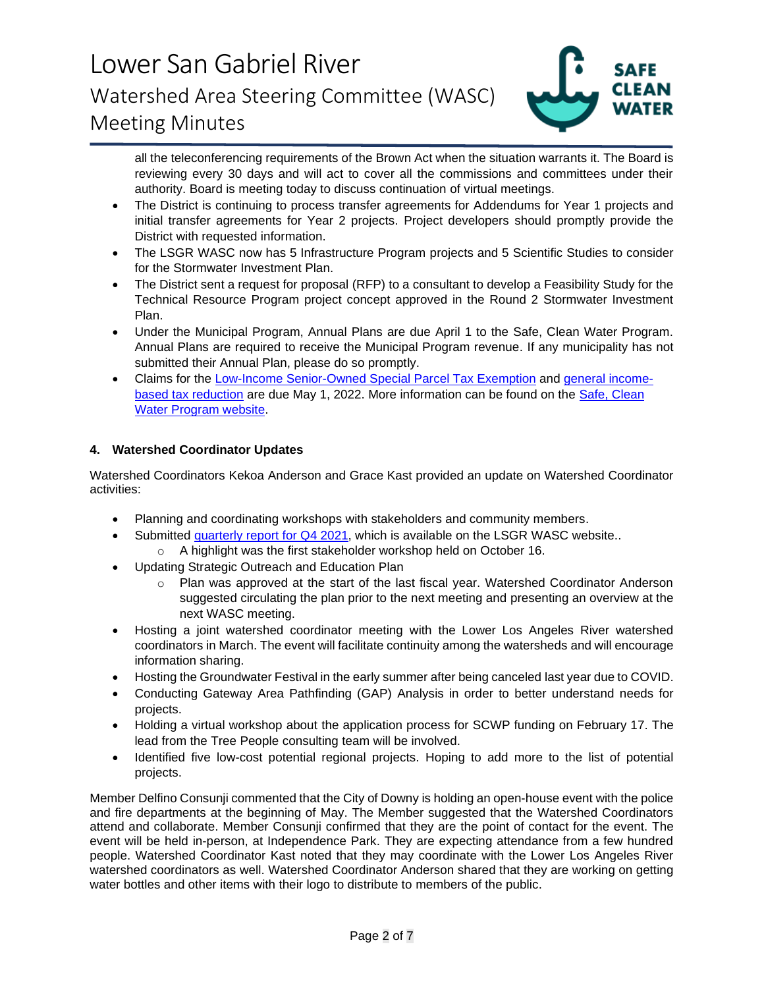

all the teleconferencing requirements of the Brown Act when the situation warrants it. The Board is reviewing every 30 days and will act to cover all the commissions and committees under their authority. Board is meeting today to discuss continuation of virtual meetings.

- The District is continuing to process transfer agreements for Addendums for Year 1 projects and initial transfer agreements for Year 2 projects. Project developers should promptly provide the District with requested information.
- The LSGR WASC now has 5 Infrastructure Program projects and 5 Scientific Studies to consider for the Stormwater Investment Plan.
- The District sent a request for proposal (RFP) to a consultant to develop a Feasibility Study for the Technical Resource Program project concept approved in the Round 2 Stormwater Investment Plan.
- Under the Municipal Program, Annual Plans are due April 1 to the Safe, Clean Water Program. Annual Plans are required to receive the Municipal Program revenue. If any municipality has not submitted their Annual Plan, please do so promptly.
- Claims for the [Low-Income Senior-Owned Special Parcel Tax Exemption](https://safecleanwaterla.org/wp-content/uploads/2021/06/Low-Income-Senior-Owned-Parcel-Application-20210621.pdf) and [general income](https://safecleanwaterla.org/wp-content/uploads/2021/06/General-Income-Based-Tax-Reduction-Application-20210607.pdf)[based tax reduction](https://safecleanwaterla.org/wp-content/uploads/2021/06/General-Income-Based-Tax-Reduction-Application-20210607.pdf) are due May 1, 2022. More information can be found on the [Safe, Clean](https://safecleanwaterla.org/resources/tools/)  [Water Program website.](https://safecleanwaterla.org/resources/tools/)

### **4. Watershed Coordinator Updates**

Watershed Coordinators Kekoa Anderson and Grace Kast provided an update on Watershed Coordinator activities:

- Planning and coordinating workshops with stakeholders and community members.
- Submitted [quarterly report](https://safecleanwaterla.org/wp-content/uploads/2022/02/LSGR-WC-Quarterly-Report-2021_QTR4_REDACTED.pdf) for Q4 2021, which is available on the LSGR WASC website.. o A highlight was the first stakeholder workshop held on October 16.
- Updating Strategic Outreach and Education Plan
	- o Plan was approved at the start of the last fiscal year. Watershed Coordinator Anderson suggested circulating the plan prior to the next meeting and presenting an overview at the next WASC meeting.
- Hosting a joint watershed coordinator meeting with the Lower Los Angeles River watershed coordinators in March. The event will facilitate continuity among the watersheds and will encourage information sharing.
- Hosting the Groundwater Festival in the early summer after being canceled last year due to COVID.
- Conducting Gateway Area Pathfinding (GAP) Analysis in order to better understand needs for projects.
- Holding a virtual workshop about the application process for SCWP funding on February 17. The lead from the Tree People consulting team will be involved.
- Identified five low-cost potential regional projects. Hoping to add more to the list of potential projects.

Member Delfino Consunji commented that the City of Downy is holding an open-house event with the police and fire departments at the beginning of May. The Member suggested that the Watershed Coordinators attend and collaborate. Member Consunji confirmed that they are the point of contact for the event. The event will be held in-person, at Independence Park. They are expecting attendance from a few hundred people. Watershed Coordinator Kast noted that they may coordinate with the Lower Los Angeles River watershed coordinators as well. Watershed Coordinator Anderson shared that they are working on getting water bottles and other items with their logo to distribute to members of the public.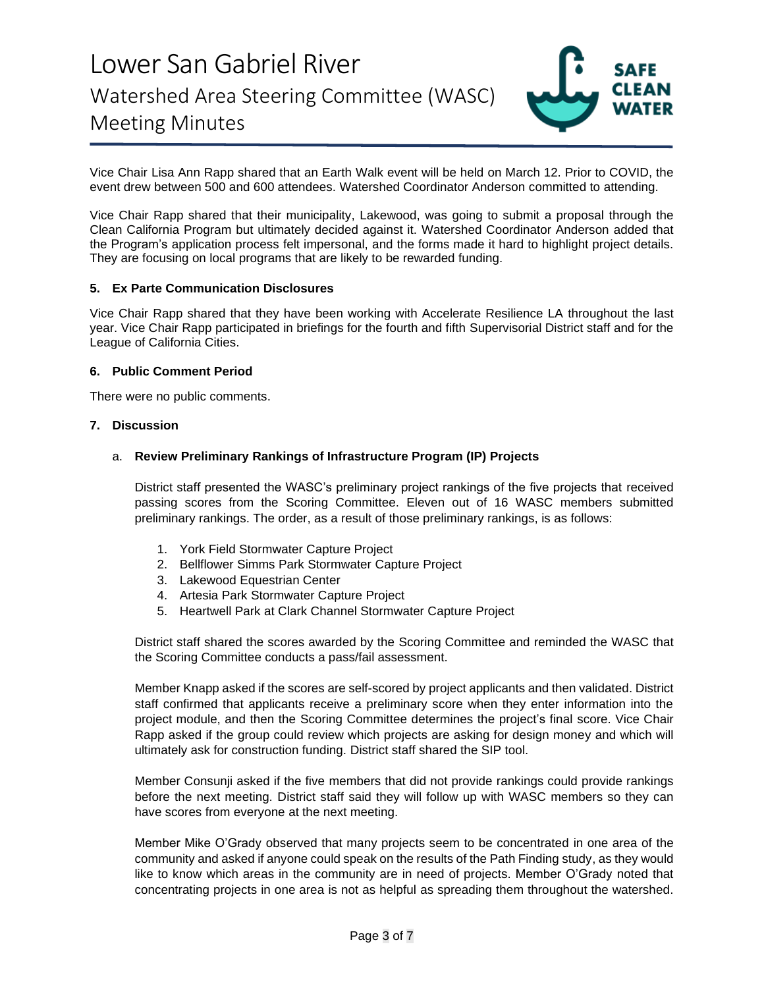

Vice Chair Lisa Ann Rapp shared that an Earth Walk event will be held on March 12. Prior to COVID, the event drew between 500 and 600 attendees. Watershed Coordinator Anderson committed to attending.

Vice Chair Rapp shared that their municipality, Lakewood, was going to submit a proposal through the Clean California Program but ultimately decided against it. Watershed Coordinator Anderson added that the Program's application process felt impersonal, and the forms made it hard to highlight project details. They are focusing on local programs that are likely to be rewarded funding.

#### **5. Ex Parte Communication Disclosures**

Vice Chair Rapp shared that they have been working with Accelerate Resilience LA throughout the last year. Vice Chair Rapp participated in briefings for the fourth and fifth Supervisorial District staff and for the League of California Cities.

#### **6. Public Comment Period**

There were no public comments.

#### **7. Discussion**

#### a. **Review Preliminary Rankings of Infrastructure Program (IP) Projects**

District staff presented the WASC's preliminary project rankings of the five projects that received passing scores from the Scoring Committee. Eleven out of 16 WASC members submitted preliminary rankings. The order, as a result of those preliminary rankings, is as follows:

- 1. York Field Stormwater Capture Project
- 2. Bellflower Simms Park Stormwater Capture Project
- 3. Lakewood Equestrian Center
- 4. Artesia Park Stormwater Capture Project
- 5. Heartwell Park at Clark Channel Stormwater Capture Project

District staff shared the scores awarded by the Scoring Committee and reminded the WASC that the Scoring Committee conducts a pass/fail assessment.

Member Knapp asked if the scores are self-scored by project applicants and then validated. District staff confirmed that applicants receive a preliminary score when they enter information into the project module, and then the Scoring Committee determines the project's final score. Vice Chair Rapp asked if the group could review which projects are asking for design money and which will ultimately ask for construction funding. District staff shared the SIP tool.

Member Consunji asked if the five members that did not provide rankings could provide rankings before the next meeting. District staff said they will follow up with WASC members so they can have scores from everyone at the next meeting.

Member Mike O'Grady observed that many projects seem to be concentrated in one area of the community and asked if anyone could speak on the results of the Path Finding study, as they would like to know which areas in the community are in need of projects. Member O'Grady noted that concentrating projects in one area is not as helpful as spreading them throughout the watershed.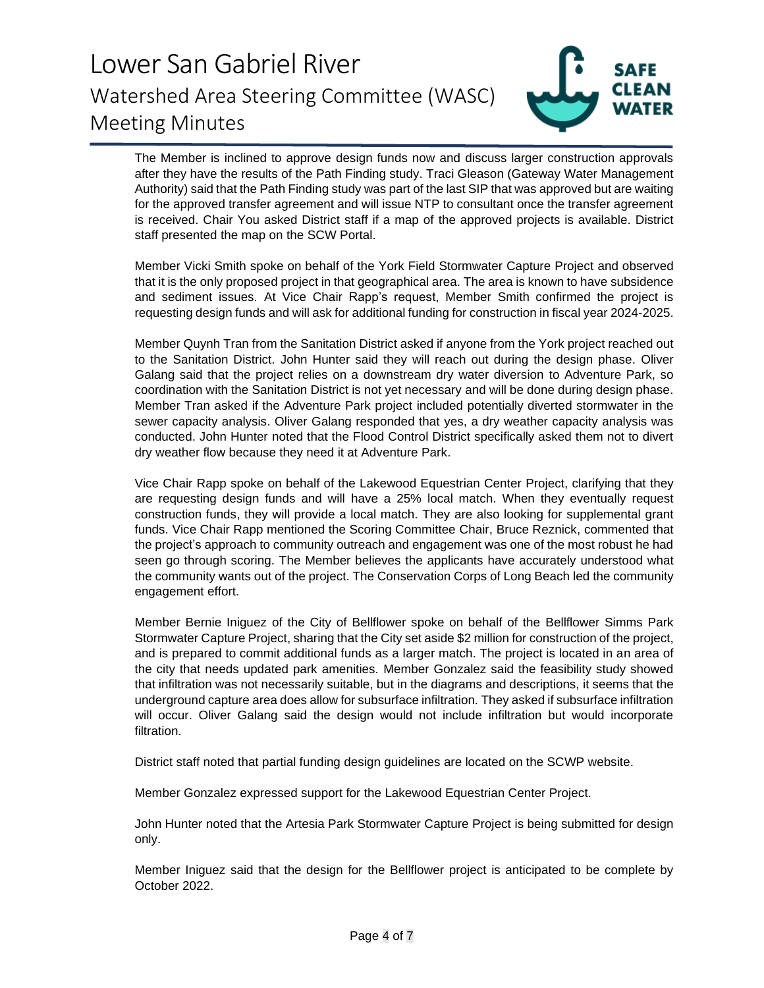

The Member is inclined to approve design funds now and discuss larger construction approvals after they have the results of the Path Finding study. Traci Gleason (Gateway Water Management Authority) said that the Path Finding study was part of the last SIP that was approved but are waiting for the approved transfer agreement and will issue NTP to consultant once the transfer agreement is received. Chair You asked District staff if a map of the approved projects is available. District staff presented the map on the SCW Portal.

Member Vicki Smith spoke on behalf of the York Field Stormwater Capture Project and observed that it is the only proposed project in that geographical area. The area is known to have subsidence and sediment issues. At Vice Chair Rapp's request, Member Smith confirmed the project is requesting design funds and will ask for additional funding for construction in fiscal year 2024-2025.

Member Quynh Tran from the Sanitation District asked if anyone from the York project reached out to the Sanitation District. John Hunter said they will reach out during the design phase. Oliver Galang said that the project relies on a downstream dry water diversion to Adventure Park, so coordination with the Sanitation District is not yet necessary and will be done during design phase. Member Tran asked if the Adventure Park project included potentially diverted stormwater in the sewer capacity analysis. Oliver Galang responded that yes, a dry weather capacity analysis was conducted. John Hunter noted that the Flood Control District specifically asked them not to divert dry weather flow because they need it at Adventure Park.

Vice Chair Rapp spoke on behalf of the Lakewood Equestrian Center Project, clarifying that they are requesting design funds and will have a 25% local match. When they eventually request construction funds, they will provide a local match. They are also looking for supplemental grant funds. Vice Chair Rapp mentioned the Scoring Committee Chair, Bruce Reznick, commented that the project's approach to community outreach and engagement was one of the most robust he had seen go through scoring. The Member believes the applicants have accurately understood what the community wants out of the project. The Conservation Corps of Long Beach led the community engagement effort.

Member Bernie Iniguez of the City of Bellflower spoke on behalf of the Bellflower Simms Park Stormwater Capture Project, sharing that the City set aside \$2 million for construction of the project, and is prepared to commit additional funds as a larger match. The project is located in an area of the city that needs updated park amenities. Member Gonzalez said the feasibility study showed that infiltration was not necessarily suitable, but in the diagrams and descriptions, it seems that the underground capture area does allow for subsurface infiltration. They asked if subsurface infiltration will occur. Oliver Galang said the design would not include infiltration but would incorporate filtration.

District staff noted that partial funding design guidelines are located on the SCWP website.

Member Gonzalez expressed support for the Lakewood Equestrian Center Project.

John Hunter noted that the Artesia Park Stormwater Capture Project is being submitted for design only.

Member Iniguez said that the design for the Bellflower project is anticipated to be complete by October 2022.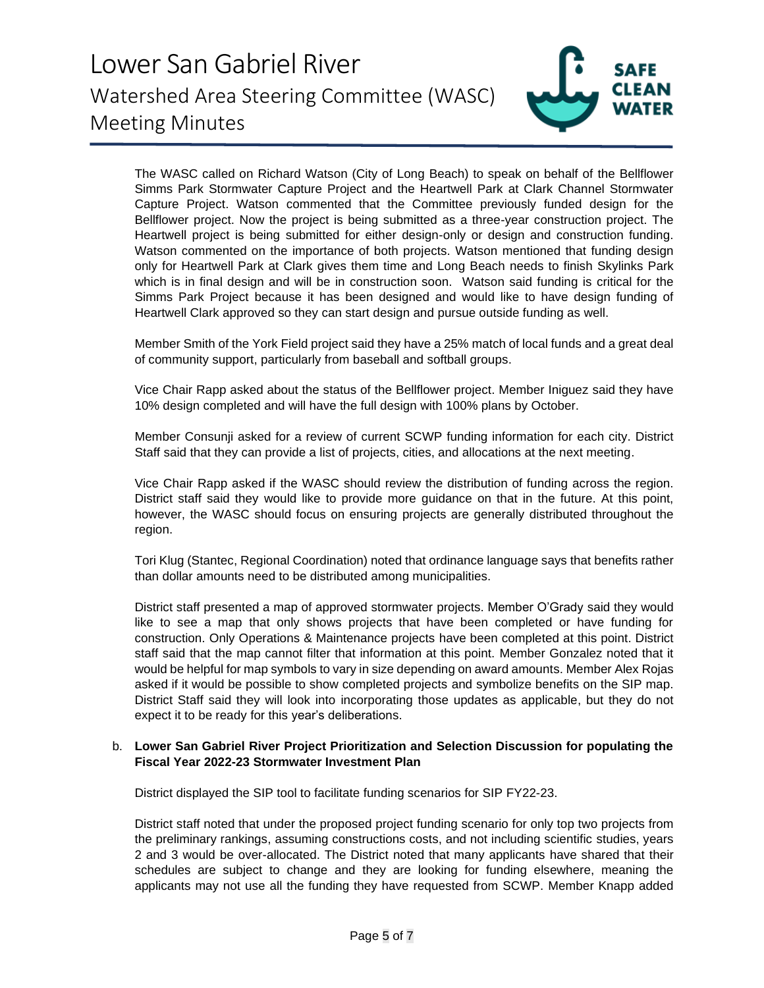

The WASC called on Richard Watson (City of Long Beach) to speak on behalf of the Bellflower Simms Park Stormwater Capture Project and the Heartwell Park at Clark Channel Stormwater Capture Project. Watson commented that the Committee previously funded design for the Bellflower project. Now the project is being submitted as a three-year construction project. The Heartwell project is being submitted for either design-only or design and construction funding. Watson commented on the importance of both projects. Watson mentioned that funding design only for Heartwell Park at Clark gives them time and Long Beach needs to finish Skylinks Park which is in final design and will be in construction soon. Watson said funding is critical for the Simms Park Project because it has been designed and would like to have design funding of Heartwell Clark approved so they can start design and pursue outside funding as well.

Member Smith of the York Field project said they have a 25% match of local funds and a great deal of community support, particularly from baseball and softball groups.

Vice Chair Rapp asked about the status of the Bellflower project. Member Iniguez said they have 10% design completed and will have the full design with 100% plans by October.

Member Consunji asked for a review of current SCWP funding information for each city. District Staff said that they can provide a list of projects, cities, and allocations at the next meeting.

Vice Chair Rapp asked if the WASC should review the distribution of funding across the region. District staff said they would like to provide more guidance on that in the future. At this point, however, the WASC should focus on ensuring projects are generally distributed throughout the region.

Tori Klug (Stantec, Regional Coordination) noted that ordinance language says that benefits rather than dollar amounts need to be distributed among municipalities.

District staff presented a map of approved stormwater projects. Member O'Grady said they would like to see a map that only shows projects that have been completed or have funding for construction. Only Operations & Maintenance projects have been completed at this point. District staff said that the map cannot filter that information at this point. Member Gonzalez noted that it would be helpful for map symbols to vary in size depending on award amounts. Member Alex Rojas asked if it would be possible to show completed projects and symbolize benefits on the SIP map. District Staff said they will look into incorporating those updates as applicable, but they do not expect it to be ready for this year's deliberations.

#### b. **Lower San Gabriel River Project Prioritization and Selection Discussion for populating the Fiscal Year 2022-23 Stormwater Investment Plan**

District displayed the SIP tool to facilitate funding scenarios for SIP FY22-23.

District staff noted that under the proposed project funding scenario for only top two projects from the preliminary rankings, assuming constructions costs, and not including scientific studies, years 2 and 3 would be over-allocated. The District noted that many applicants have shared that their schedules are subject to change and they are looking for funding elsewhere, meaning the applicants may not use all the funding they have requested from SCWP. Member Knapp added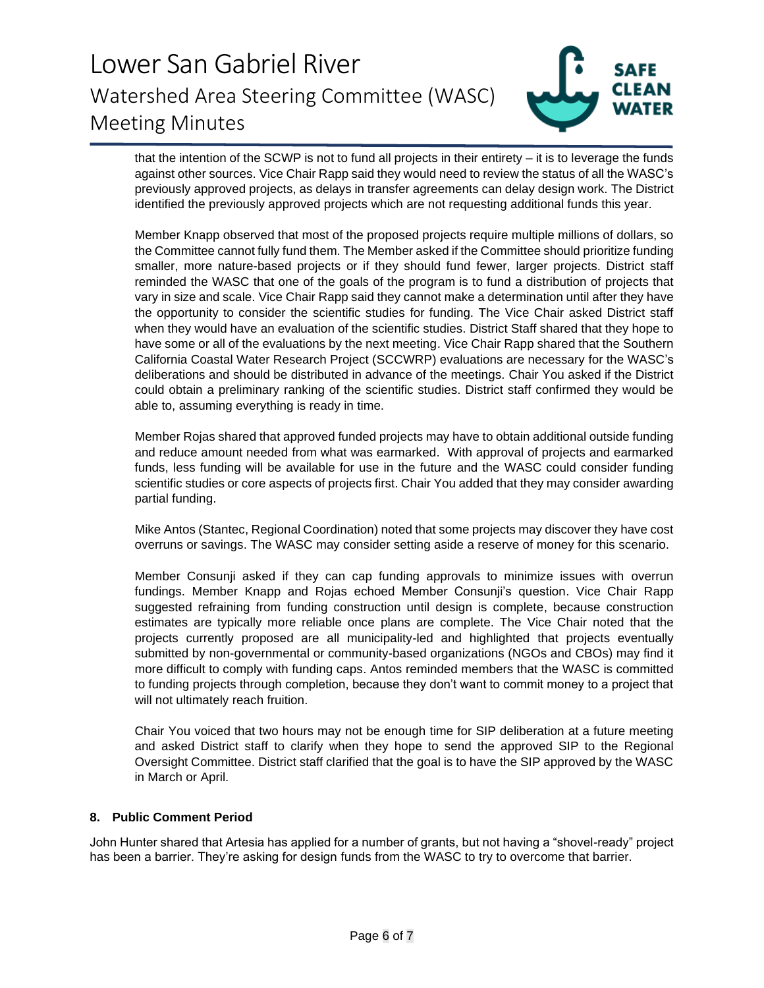

that the intention of the SCWP is not to fund all projects in their entirety – it is to leverage the funds against other sources. Vice Chair Rapp said they would need to review the status of all the WASC's previously approved projects, as delays in transfer agreements can delay design work. The District identified the previously approved projects which are not requesting additional funds this year.

Member Knapp observed that most of the proposed projects require multiple millions of dollars, so the Committee cannot fully fund them. The Member asked if the Committee should prioritize funding smaller, more nature-based projects or if they should fund fewer, larger projects. District staff reminded the WASC that one of the goals of the program is to fund a distribution of projects that vary in size and scale. Vice Chair Rapp said they cannot make a determination until after they have the opportunity to consider the scientific studies for funding. The Vice Chair asked District staff when they would have an evaluation of the scientific studies. District Staff shared that they hope to have some or all of the evaluations by the next meeting. Vice Chair Rapp shared that the Southern California Coastal Water Research Project (SCCWRP) evaluations are necessary for the WASC's deliberations and should be distributed in advance of the meetings. Chair You asked if the District could obtain a preliminary ranking of the scientific studies. District staff confirmed they would be able to, assuming everything is ready in time.

Member Rojas shared that approved funded projects may have to obtain additional outside funding and reduce amount needed from what was earmarked. With approval of projects and earmarked funds, less funding will be available for use in the future and the WASC could consider funding scientific studies or core aspects of projects first. Chair You added that they may consider awarding partial funding.

Mike Antos (Stantec, Regional Coordination) noted that some projects may discover they have cost overruns or savings. The WASC may consider setting aside a reserve of money for this scenario.

Member Consunji asked if they can cap funding approvals to minimize issues with overrun fundings. Member Knapp and Rojas echoed Member Consunji's question. Vice Chair Rapp suggested refraining from funding construction until design is complete, because construction estimates are typically more reliable once plans are complete. The Vice Chair noted that the projects currently proposed are all municipality-led and highlighted that projects eventually submitted by non-governmental or community-based organizations (NGOs and CBOs) may find it more difficult to comply with funding caps. Antos reminded members that the WASC is committed to funding projects through completion, because they don't want to commit money to a project that will not ultimately reach fruition.

Chair You voiced that two hours may not be enough time for SIP deliberation at a future meeting and asked District staff to clarify when they hope to send the approved SIP to the Regional Oversight Committee. District staff clarified that the goal is to have the SIP approved by the WASC in March or April.

### **8. Public Comment Period**

John Hunter shared that Artesia has applied for a number of grants, but not having a "shovel-ready" project has been a barrier. They're asking for design funds from the WASC to try to overcome that barrier.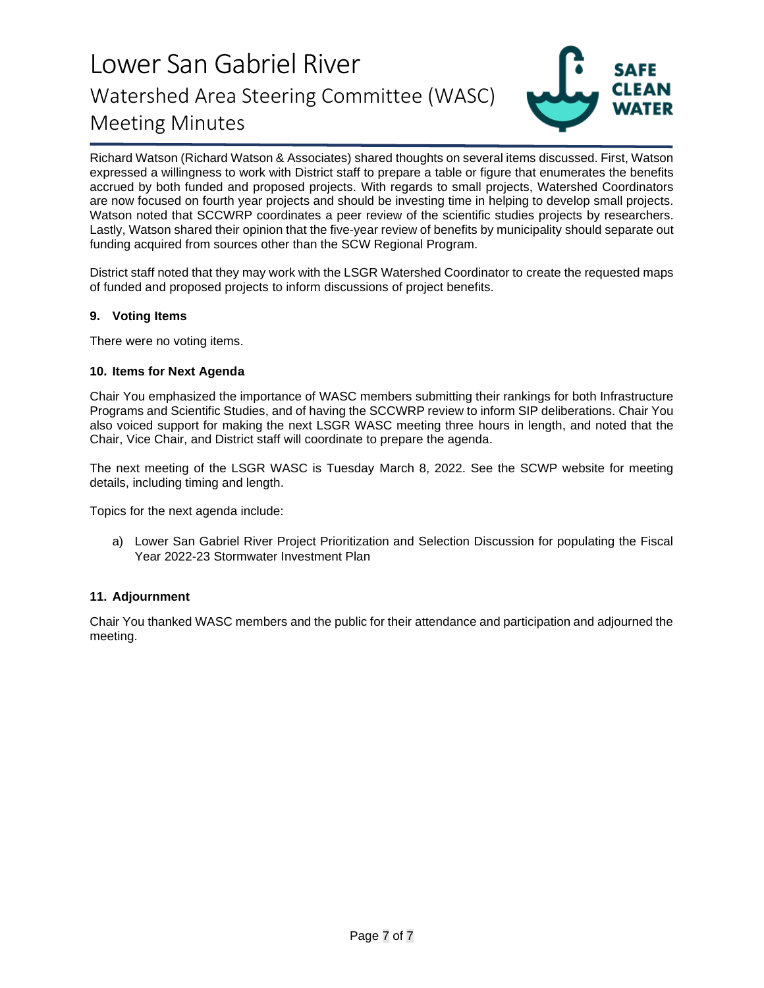

Richard Watson (Richard Watson & Associates) shared thoughts on several items discussed. First, Watson expressed a willingness to work with District staff to prepare a table or figure that enumerates the benefits accrued by both funded and proposed projects. With regards to small projects, Watershed Coordinators are now focused on fourth year projects and should be investing time in helping to develop small projects. Watson noted that SCCWRP coordinates a peer review of the scientific studies projects by researchers. Lastly, Watson shared their opinion that the five-year review of benefits by municipality should separate out funding acquired from sources other than the SCW Regional Program.

District staff noted that they may work with the LSGR Watershed Coordinator to create the requested maps of funded and proposed projects to inform discussions of project benefits.

### **9. Voting Items**

There were no voting items.

### **10. Items for Next Agenda**

Chair You emphasized the importance of WASC members submitting their rankings for both Infrastructure Programs and Scientific Studies, and of having the SCCWRP review to inform SIP deliberations. Chair You also voiced support for making the next LSGR WASC meeting three hours in length, and noted that the Chair, Vice Chair, and District staff will coordinate to prepare the agenda.

The next meeting of the LSGR WASC is Tuesday March 8, 2022. See the SCWP website for meeting details, including timing and length.

Topics for the next agenda include:

a) Lower San Gabriel River Project Prioritization and Selection Discussion for populating the Fiscal Year 2022-23 Stormwater Investment Plan

### **11. Adjournment**

Chair You thanked WASC members and the public for their attendance and participation and adjourned the meeting.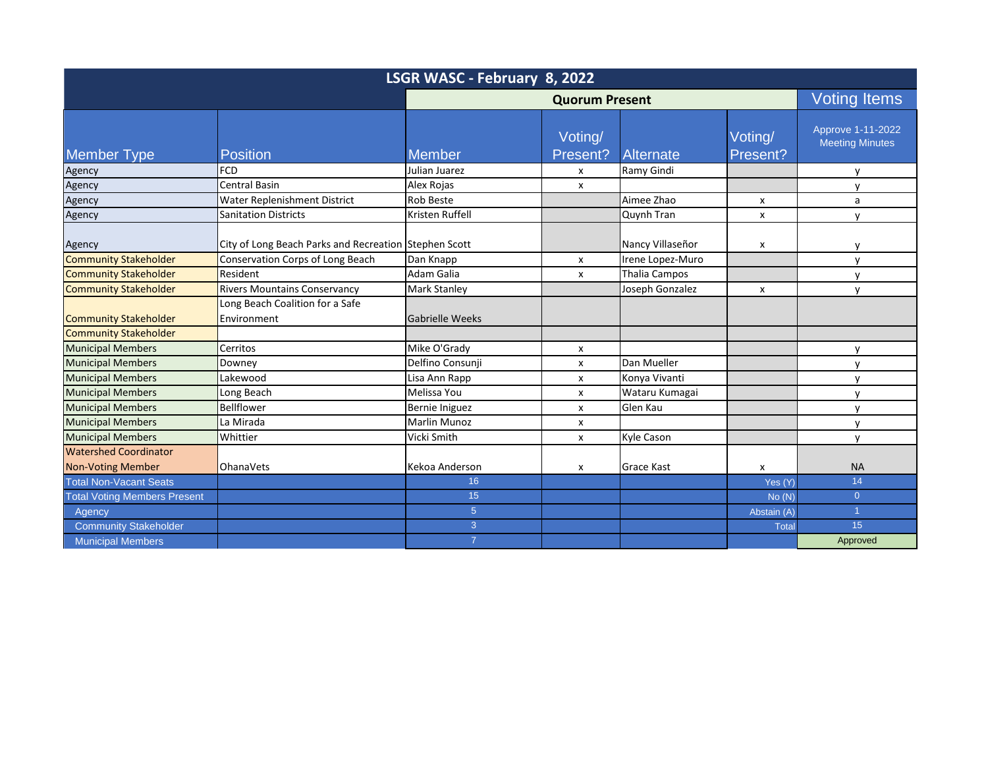| LSGR WASC - February 8, 2022        |                                                       |                        |                     |                      |                     |                                             |  |
|-------------------------------------|-------------------------------------------------------|------------------------|---------------------|----------------------|---------------------|---------------------------------------------|--|
|                                     |                                                       | <b>Quorum Present</b>  |                     |                      |                     | <b>Voting Items</b>                         |  |
| <b>Member Type</b>                  | <b>Position</b>                                       | <b>Member</b>          | Voting/<br>Present? | <b>Alternate</b>     | Voting/<br>Present? | Approve 1-11-2022<br><b>Meeting Minutes</b> |  |
| Agency                              | <b>FCD</b>                                            | Julian Juarez          | X                   | Ramy Gindi           |                     | $\mathsf{v}$                                |  |
| Agency                              | Central Basin                                         | Alex Rojas             | $\mathsf{x}$        |                      |                     | $\mathsf{v}$                                |  |
| Agency                              | Water Replenishment District                          | <b>Rob Beste</b>       |                     | Aimee Zhao           | x                   | a                                           |  |
| Agency                              | <b>Sanitation Districts</b>                           | Kristen Ruffell        |                     | Quynh Tran           | x                   | $\mathsf{v}$                                |  |
| Agency                              | City of Long Beach Parks and Recreation Stephen Scott |                        |                     | Nancy Villaseñor     | x                   | $\mathsf{v}$                                |  |
| <b>Community Stakeholder</b>        | Conservation Corps of Long Beach                      | Dan Knapp              | X                   | Irene Lopez-Muro     |                     | $\mathsf{v}$                                |  |
| <b>Community Stakeholder</b>        | Resident                                              | Adam Galia             | X                   | <b>Thalia Campos</b> |                     | $\mathsf{v}$                                |  |
| <b>Community Stakeholder</b>        | <b>Rivers Mountains Conservancy</b>                   | <b>Mark Stanley</b>    |                     | Joseph Gonzalez      | $\pmb{\times}$      | $\mathsf{v}$                                |  |
|                                     | Long Beach Coalition for a Safe                       |                        |                     |                      |                     |                                             |  |
| <b>Community Stakeholder</b>        | Environment                                           | <b>Gabrielle Weeks</b> |                     |                      |                     |                                             |  |
| <b>Community Stakeholder</b>        |                                                       |                        |                     |                      |                     |                                             |  |
| <b>Municipal Members</b>            | Cerritos                                              | Mike O'Grady           | x                   |                      |                     | $\mathsf{v}$                                |  |
| <b>Municipal Members</b>            | Downey                                                | Delfino Consunji       | $\pmb{\chi}$        | Dan Mueller          |                     | $\mathsf{v}$                                |  |
| <b>Municipal Members</b>            | Lakewood                                              | Lisa Ann Rapp          | X                   | Konya Vivanti        |                     | $\mathsf{v}$                                |  |
| <b>Municipal Members</b>            | Long Beach                                            | Melissa You            | X                   | Wataru Kumagai       |                     | $\mathsf{v}$                                |  |
| <b>Municipal Members</b>            | Bellflower                                            | Bernie Iniguez         | $\mathsf{x}$        | Glen Kau             |                     | $\mathsf{v}$                                |  |
| <b>Municipal Members</b>            | La Mirada                                             | Marlin Munoz           | x                   |                      |                     | y                                           |  |
| <b>Municipal Members</b>            | Whittier                                              | Vicki Smith            | $\mathsf{x}$        | Kyle Cason           |                     | $\mathsf{v}$                                |  |
| <b>Watershed Coordinator</b>        |                                                       |                        |                     |                      |                     |                                             |  |
| <b>Non-Voting Member</b>            | <b>OhanaVets</b>                                      | Kekoa Anderson         | X                   | <b>Grace Kast</b>    | x                   | <b>NA</b>                                   |  |
| <b>Total Non-Vacant Seats</b>       |                                                       | 16                     |                     |                      | Yes (Y)             | 14                                          |  |
| <b>Total Voting Members Present</b> |                                                       | 15                     |                     |                      | No(N)               | $\overline{0}$                              |  |
| Agency                              |                                                       | 5 <sup>5</sup>         |                     |                      | Abstain (A)         | $\blacktriangleleft$                        |  |
| <b>Community Stakeholder</b>        |                                                       | 3 <sup>1</sup>         |                     |                      | <b>Total</b>        | 15                                          |  |
| <b>Municipal Members</b>            |                                                       | $\overline{7}$         |                     |                      |                     | Approved                                    |  |